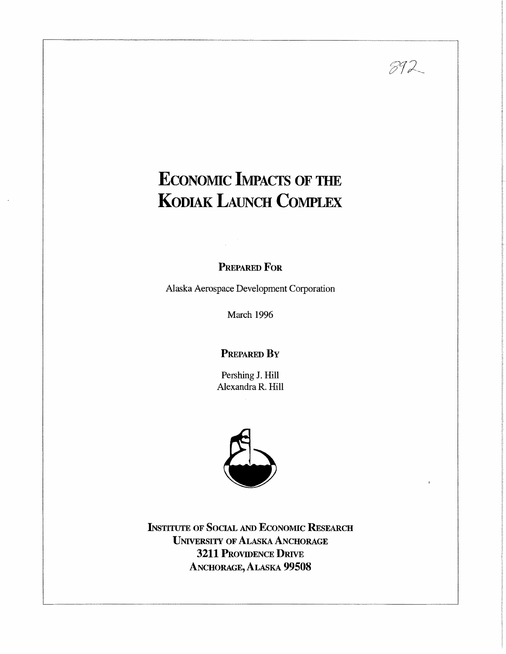# **ECONOMIC IMPACTS OF THE KODIAK LAUNCH COMPLEX**

 $892$ 

**PREPARED FoR** 

Alaska Aerospace Development Corporation

March 1996

### **PREPARED BY**

Pershing **J.** Hill Alexandra R. Hill



**INSTITUTE OF SOCIAL AND ECONOMIC RESEARCH UNIVERSITY OF ALASKA ANCHORAGE 3211 PROVIDENCE DRIVE**  ANCHORAGE, ALASKA **99508**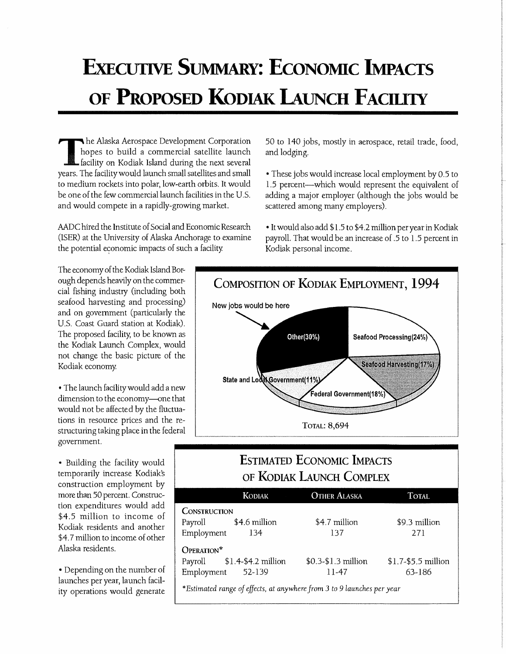# **ExECUTIVE SUMMARY: ECONOMIC IMPACTS OF PROPOSED KODIAK LAUNCH FACILITY**

he Alaska Aerospace Development Corporation hopes to build a commercial satellite launch facility on Kodiak Island during the next several years. The facility would launch small satellites and small to medium rockets into polar, low-earth orbits. It would be one of the few commercial launch facilities in the U.S. and would compete in a rapidly-growing market.

MDC hired the Institute of Social and Economic Research (ISER) at the University of Alaska Anchorage to examine the potential economic impacts of such a facility.

50 to 140 jobs, mostly in aerospace, retail trade, food, and lodging.

• These jobs would increase local employment by 0.5 to 1.5 percent--which would represent the equivalent of adding a major employer (although the jobs would be scattered among many employers).

• It would also add \$1.5 to \$4 .2 million per year in Kodiak payroll. That would be an increase of .5 to 1.5 percent in Kodiak personal income.

The economy of the Kodiak Island Borough depends heavily on the commercial fishing industry (including both seafood harvesting and processing) and on government (particularly the U.S. Coast Guard station at Kodiak). The proposed facility; to be known as the Kodiak Launch Complex, would not change the basic picture of the Kodiak economy.

• The launch facility would add a new dimension to the economy-one that would not be affected by the fluctuations in resource prices and the restructuring taking place in the federal government.

• Building the facility would temporarily increase Kodiaks construction employment by more than 50 percent. Construction expenditures would add \$4.5 million to income of Kodiak residents and another \$4.7 million to income of other Alaska residents.

• Depending on the number of launches per year, launch facility operations would generate



## **ESTIMATED ECONOMIC IMPACTS OF KODIAK LAUNCH COMPLEX**

|                                                                                                                                 | <b>KODIAK</b> | <b>OTHER ALASKA</b>  | <b>TOTAL</b>         |  |  |  |  |
|---------------------------------------------------------------------------------------------------------------------------------|---------------|----------------------|----------------------|--|--|--|--|
| <b>CONSTRUCTION</b><br>Payroll \$4.6 million<br>Employment                                                                      | -134          | \$4.7 million<br>137 | \$9.3 million<br>271 |  |  |  |  |
| OPERATION*<br>\$0.3-\$1.3 million<br>Payroll \$1.4-\$4.2 million<br>$$1.7-$5.5 million$<br>Employment 52-139<br>63-186<br>11-47 |               |                      |                      |  |  |  |  |
| *Estimated range of effects, at anywhere from 3 to 9 launches per year                                                          |               |                      |                      |  |  |  |  |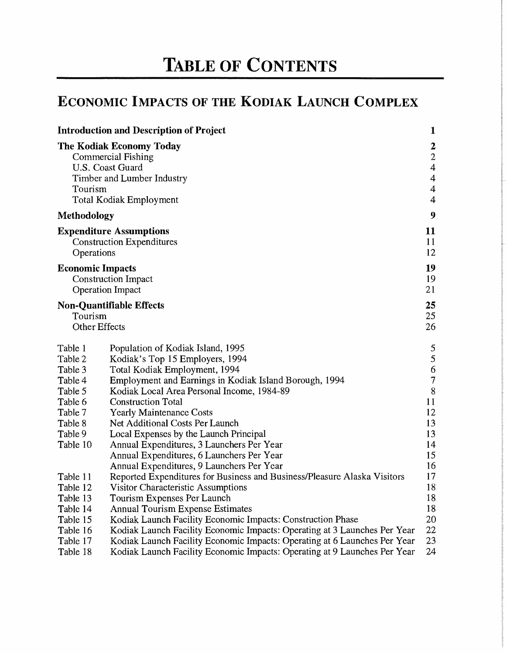# **TABLE OF CONTENTS**

# **ECONOMIC IMPACTS OF THE KODIAK LAUNCH COMPLEX**

|                                                                                                             | <b>Introduction and Description of Project</b>                                                                                                                                                                                                                                                                                                                                                                                                                                                        | $\mathbf{1}$                                                                                                          |
|-------------------------------------------------------------------------------------------------------------|-------------------------------------------------------------------------------------------------------------------------------------------------------------------------------------------------------------------------------------------------------------------------------------------------------------------------------------------------------------------------------------------------------------------------------------------------------------------------------------------------------|-----------------------------------------------------------------------------------------------------------------------|
| Tourism                                                                                                     | The Kodiak Economy Today<br>Commercial Fishing<br>U.S. Coast Guard<br>Timber and Lumber Industry<br>Total Kodiak Employment                                                                                                                                                                                                                                                                                                                                                                           | $\mathbf{2}$<br>$\sqrt{2}$<br>$\overline{\mathbf{4}}$<br>$\overline{4}$<br>$\overline{\mathcal{L}}$<br>$\overline{4}$ |
| Methodology                                                                                                 |                                                                                                                                                                                                                                                                                                                                                                                                                                                                                                       | $\boldsymbol{9}$                                                                                                      |
| Operations                                                                                                  | <b>Expenditure Assumptions</b><br><b>Construction Expenditures</b>                                                                                                                                                                                                                                                                                                                                                                                                                                    | 11<br>11<br>12                                                                                                        |
| <b>Economic Impacts</b>                                                                                     | <b>Construction Impact</b><br><b>Operation Impact</b>                                                                                                                                                                                                                                                                                                                                                                                                                                                 | 19<br>19<br>21                                                                                                        |
| Tourism<br>Other Effects                                                                                    | <b>Non-Quantifiable Effects</b>                                                                                                                                                                                                                                                                                                                                                                                                                                                                       | 25<br>25<br>26                                                                                                        |
| Table 1<br>Table 2<br>Table 3<br>Table 4<br>Table 5<br>Table 6<br>Table 7<br>Table 8<br>Table 9<br>Table 10 | Population of Kodiak Island, 1995<br>Kodiak's Top 15 Employers, 1994<br>Total Kodiak Employment, 1994<br>Employment and Earnings in Kodiak Island Borough, 1994<br>Kodiak Local Area Personal Income, 1984-89<br><b>Construction Total</b><br><b>Yearly Maintenance Costs</b><br>Net Additional Costs Per Launch<br>Local Expenses by the Launch Principal<br>Annual Expenditures, 3 Launchers Per Year<br>Annual Expenditures, 6 Launchers Per Year<br>Annual Expenditures, 9 Launchers Per Year     | 5<br>5<br>6<br>$\overline{7}$<br>$8\,$<br>11<br>12<br>13<br>13<br>14<br>15<br>16                                      |
| Table 11<br>Table 12<br>Table 13<br>Table 14<br>Table 15<br>Table 16<br>Table 17<br>Table 18                | Reported Expenditures for Business and Business/Pleasure Alaska Visitors<br><b>Visitor Characteristic Assumptions</b><br>Tourism Expenses Per Launch<br><b>Annual Tourism Expense Estimates</b><br>Kodiak Launch Facility Economic Impacts: Construction Phase<br>Kodiak Launch Facility Economic Impacts: Operating at 3 Launches Per Year<br>Kodiak Launch Facility Economic Impacts: Operating at 6 Launches Per Year<br>Kodiak Launch Facility Economic Impacts: Operating at 9 Launches Per Year | 17<br>18<br>18<br>18<br>20<br>22<br>23<br>24                                                                          |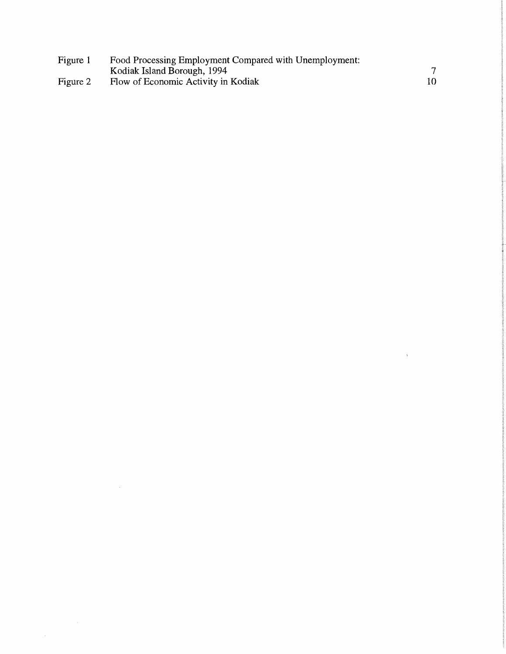| Figure 1 | Food Processing Employment Compared with Unemployment: |  |
|----------|--------------------------------------------------------|--|
|          | Kodiak Island Borough, 1994                            |  |
| Figure 2 | Flow of Economic Activity in Kodiak                    |  |

 $\label{eq:2.1} \frac{1}{\sqrt{2}}\int_{\mathbb{R}^3}\frac{1}{\sqrt{2}}\left(\frac{1}{\sqrt{2}}\right)^2\frac{1}{\sqrt{2}}\left(\frac{1}{\sqrt{2}}\right)^2\frac{1}{\sqrt{2}}\left(\frac{1}{\sqrt{2}}\right)^2\frac{1}{\sqrt{2}}\left(\frac{1}{\sqrt{2}}\right)^2.$ 

 $\label{eq:3.1} \frac{1}{2} \sum_{i=1}^n \frac{1}{2} \sum_{j=1}^n \frac{1}{2} \sum_{j=1}^n \frac{1}{2} \sum_{j=1}^n \frac{1}{2} \sum_{j=1}^n \frac{1}{2} \sum_{j=1}^n \frac{1}{2} \sum_{j=1}^n \frac{1}{2} \sum_{j=1}^n \frac{1}{2} \sum_{j=1}^n \frac{1}{2} \sum_{j=1}^n \frac{1}{2} \sum_{j=1}^n \frac{1}{2} \sum_{j=1}^n \frac{1}{2} \sum_{j=1}^n \frac{$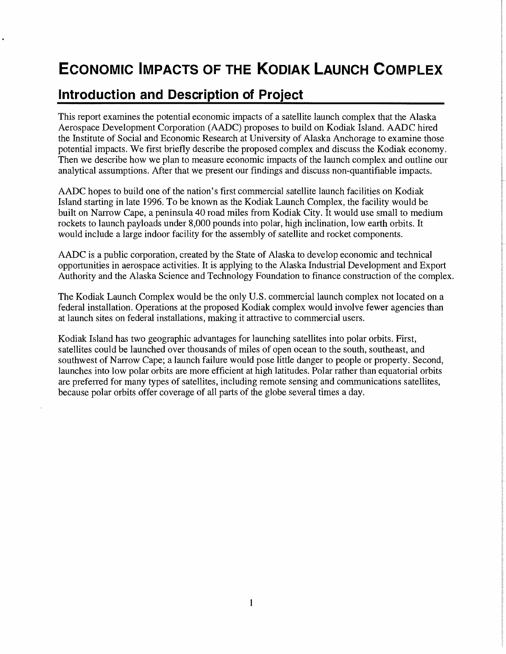# **ECONOMIC IMPACTS OF THE KODIAK LAUNCH COMPLEX**

# **Introduction and Description of Project**

This report examines the potential economic impacts of a satellite launch complex that the Alaska Aerospace Development Corporation (AADC) proposes to build on Kodiak Island. AADC hired the Institute of Social and Economic Research at University of Alaska Anchorage to examine those potential impacts. We first briefly describe the proposed complex and discuss the Kodiak economy. Then we describe how we plan to measure economic impacts of the launch complex and outline our analytical assumptions. After that we present our findings and discuss non-quantifiable impacts.

AADC hopes to build one of the nation's first commercial satellite launch facilities on Kodiak Island starting in late 1996. To be known as the Kodiak Launch Complex, the facility would be built on Narrow Cape, a peninsula 40 road miles from Kodiak City. It would use small to medium rockets to launch payloads under 8,000 pounds into polar, high inclination, low earth orbits. It would include a large indoor facility for the assembly of satellite and rocket components.

AADC is a public corporation, created by the State of Alaska to develop economic and technical opportunities in aerospace activities. It is applying to the Alaska Industrial Development and Export Authority and the Alaska Science and Technology Foundation to finance construction of the complex.

The Kodiak Launch Complex would be the only U.S. commercial launch complex not located on a federal installation. Operations at the proposed Kodiak complex would involve fewer agencies than at launch sites on federal installations, making it attractive to commercial users.

Kodiak Island has two geographic advantages for launching satellites into polar orbits. First, satellites could be launched over thousands of miles of open ocean to the south, southeast, and southwest of Narrow Cape; a launch failure would pose little danger to people or property. Second, launches into low polar orbits are more efficient at high latitudes. Polar rather than equatorial orbits are preferred for many types of satellites, including remote sensing and communications satellites, because polar orbits offer coverage of all parts of the globe several times a day.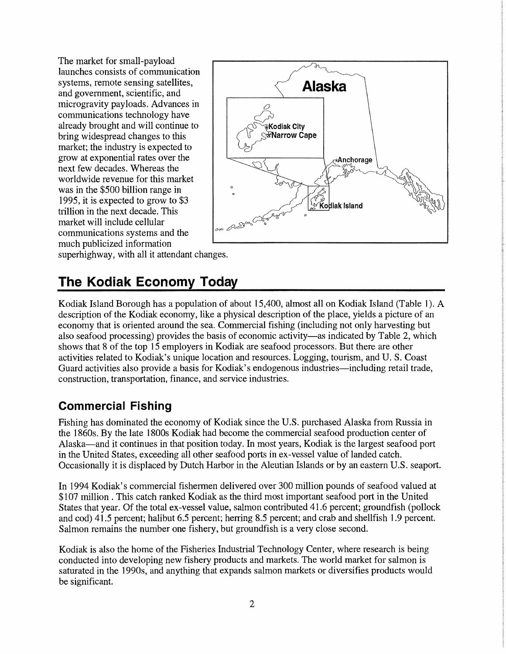The market for small-payload launches consists of communication systems, remote sensing satellites, and government, scientific, and microgravity payloads. Advances in communications technology have already brought and will continue to bring widespread changes to this market; the industry is expected to grow at exponential rates over the next few decades. Whereas the worldwide revenue for this market was in the \$500 billion range in 1995, it is expected to grow to \$3 trillion in the next decade. This market will include cellular communications systems and the *ooo*  much publicized information



superhighway, with all it attendant changes.

# **The Kodiak Economy Today**

Kodiak Island Borough has a population of about 15,400, almost all on Kodiak Island (Table 1). A description of the Kodiak economy, like a physical description of the place, yields a picture of an economy that is oriented around the sea. Commercial fishing (including not only harvesting but also seafood processing) provides the basis of economic activity—as indicated by Table 2, which shows that 8 of the top 15 employers in Kodiak are seafood processors. But there are other activities related to Kodiak's unique location and resources. Logging, tourism, and U.S. Coast Guard activities also provide a basis for Kodiak's endogenous industries—including retail trade, construction, transportation, finance, and service industries.

## **Commercial Fishing**

Fishing has dominated the economy of Kodiak since the U.S. purchased Alaska from Russia in the 1860s. By the late 1800s Kodiak had become the commercial seafood production center of Alaska-and it continues in that position today. In most years, Kodiak is the largest seafood port in the United States, exceeding all other seafood ports in ex-vessel value of landed catch. Occasionally it is displaced by Dutch Harbor in the Aleutian Islands or by an eastern U.S. seaport.

In 1994 Kodiak's commercial fishermen delivered over 300 million pounds of seafood valued at \$107 million . This catch ranked Kodiak as the third most important seafood port in the United States that year. Of the total ex-vessel value, salmon contributed 41.6 percent; groundfish (pollack and cod) 41.5 percent; halibut 6.5 percent; herring 8.5 percent; and crab and shellfish 1.9 percent. Salmon remains the number one fishery, but groundfish is a very close second.

Kodiak is also the home of the Fisheries Industrial Technology Center, where research is being conducted into developing new fishery products and markets. The world market for salmon is saturated in the 1990s, and anything that expands salmon markets or diversifies products would be significant.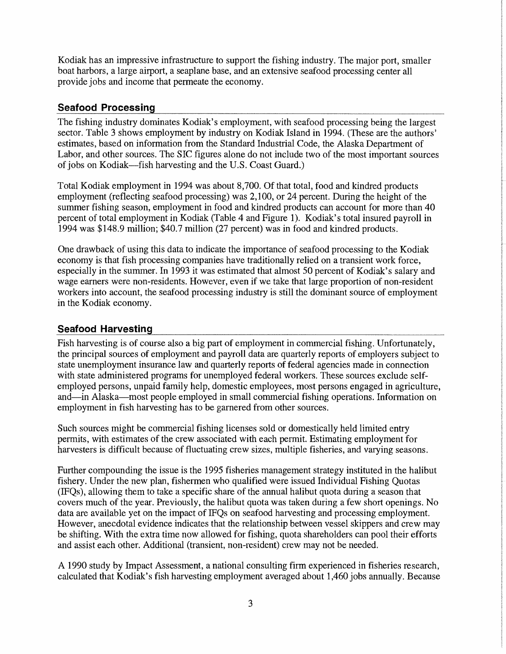Kodiak has an impressive infrastructure to support the fishing industry. The major port, smaller boat harbors, a large airport, a seaplane base, and an extensive seafood processing center all provide jobs and income that permeate the economy.

#### **Seafood Processing**

The fishing industry dominates Kodiak's employment, with seafood processing being the largest sector. Table 3 shows employment by industry on Kodiak Island in 1994. (These are the authors' estimates, based on information from the Standard Industrial Code, the Alaska Department of Labor, and other sources. The SIC figures alone do not include two of the most important sources of jobs on Kodiak-fish harvesting and the U.S. Coast Guard.)

Total Kodiak employment in 1994 was about 8,700. Of that total, food and kindred products employment (reflecting seafood processing) was 2,100, or 24 percent. During the height of the summer fishing season, employment in food and kindred products can account for more than 40 percent of total employment in Kodiak (Table 4 and Figure 1). Kodiak's total insured payroll in 1994 was \$148.9 million; \$40.7 million (27 percent) was in food and kindred products.

One drawback of using this data to indicate the importance of seafood processing to the Kodiak economy is that fish processing companies have traditionally relied on a transient work force, especially in the summer. In 1993 it was estimated that almost 50 percent of Kodiak's salary and wage earners were non-residents. However, even if we take that large proportion of non-resident workers into account, the seafood processing industry is still the dominant source of employment in the Kodiak economy.

#### **Seafood Harvesting**

Fish harvesting is of course also a big part of employment in commercial fishing. Unfortunately, the principal sources of employment and payroll data are quarterly reports of employers subject to state unemployment insurance law and quarterly reports of federal agencies made in connection with state administered programs for unemployed federal workers. These sources exclude selfemployed persons, unpaid family help, domestic employees, most persons engaged in agriculture, and—in Alaska—most people employed in small commercial fishing operations. Information on employment in fish harvesting has to be garnered from other sources.

Such sources might be commercial fishing licenses sold or domestically held limited entry permits, with estimates of the crew associated with each pennit. Estimating employment for harvesters is difficult because of fluctuating crew sizes, multiple fisheries, and varying seasons.

Further compounding the issue is the 1995 fisheries management strategy instituted in the halibut fishery. Under the new plan, fishermen who qualified were issued Individual Fishing Quotas (IFQs), allowing them to take a specific share of the annual halibut quota during a season that covers much of the year. Previously, the halibut quota was taken during a few short openings. No data are available yet on the impact of IFQs on seafood harvesting and processing employment. However, anecdotal evidence indicates that the relationship between vessel skippers and crew may be shifting. With the extra time now allowed for fishing, quota shareholders can pool their efforts and assist each other. Additional (transient, non-resident) crew may not be needed.

A 1990 study by Impact Assessment, a national consulting firm experienced in fisheries research, calculated that Kodiak's fish harvesting employment averaged about 1,460 jobs annually. Because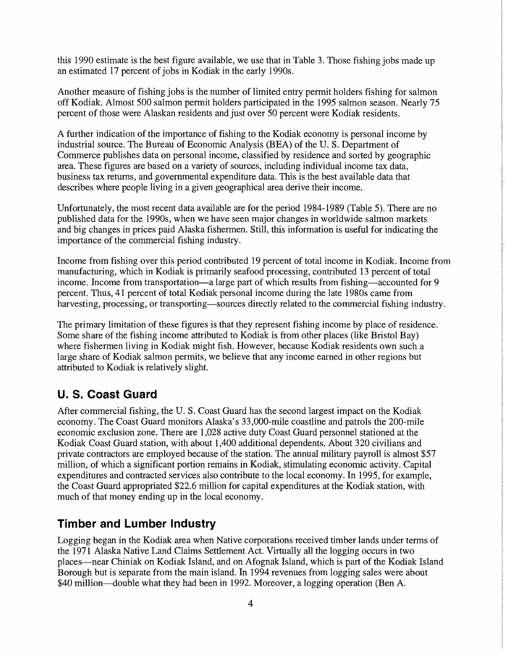this 1990 estimate is the best figure available, we use that in Table 3. Those fishing jobs made up an estimated 17 percent of jobs in Kodiak in the early 1990s.

Another measure of fishing jobs is the number of limited entry permit holders fishing for salmon off Kodiak. Almost 500 salmon permit holders participated in the 1995 salmon season. Nearly 75 percent of those were Alaskan residents and just over 50 percent were Kodiak residents.

A further indication of the importance of fishing to the Kodiak economy is personal income by industrial source. The Bureau of Economic Analysis (BEA) of the U.S. Department of Commerce publishes data on personal income, classified by residence and sorted by geographic area. These figures are based on a variety of sources, including individual income tax data, business tax returns, and governmental expenditure data. This is the best available data that describes where people living in a given geographical area derive their income.

Unfortunately, the most recent data available are for the period 1984-1989 (Table 5). There are no published data for the 1990s, when we have seen major changes in worldwide salmon markets and big changes in prices paid Alaska fishermen. Still, this information is useful for indicating the importance of the commercial fishing industry.

Income from fishing over this period contributed 19 percent of total income in Kodiak. Income from manufacturing, which in Kodiak is primarily seafood processing, contributed 13 percent of total income. Income from transportation—a large part of which results from fishing—accounted for 9 percent. Thus, 41 percent of total Kodiak personal income during the late 1980s came from harvesting, processing, or transporting—sources directly related to the commercial fishing industry.

The primary limitation of these figures is that they represent fishing income by place of residence. Some share of the fishing income attributed to Kodiak is from other places (like Bristol Bay) where fishermen living in Kodiak might fish. However, because Kodiak residents own such a large share of Kodiak salmon permits, we believe that any income earned in other regions but attributed to Kodiak is relatively slight.

### **U. S. Coast Guard**

After commercial fishing, the U.S. Coast Guard has the second largest impact on the Kodiak economy. The Coast Guard monitors Alaska's 33,000-mile coastline and patrols the 200-mile economic exclusion zone. There are 1,028 active duty Coast Guard personnel stationed at the Kodiak Coast Guard station, with about 1,400 additional dependents. About 320 civilians and private contractors are employed because of the station. The annual military payroll is almost \$57 million, of which a significant portion remains in Kodiak, stimulating economic activity. Capital expenditures and contracted services also contribute to the local economy. In 1995, for example, the Coast Guard appropriated \$22.6 million for capital expenditures at the Kodiak station, with much of that money ending up in the local economy.

### **Timber and Lumber Industry**

Logging began in the Kodiak area when Native corporations received timber lands under terms of the 1971 Alaska Native Land Claims Settlement Act. Virtually all the logging occurs in two places-near Chiniak on Kodiak Island, and on Afognak Island, which is part of the Kodiak Island Borough but is separate from the main island. In 1994 revenues from logging sales were about \$40 million—double what they had been in 1992. Moreover, a logging operation (Ben A.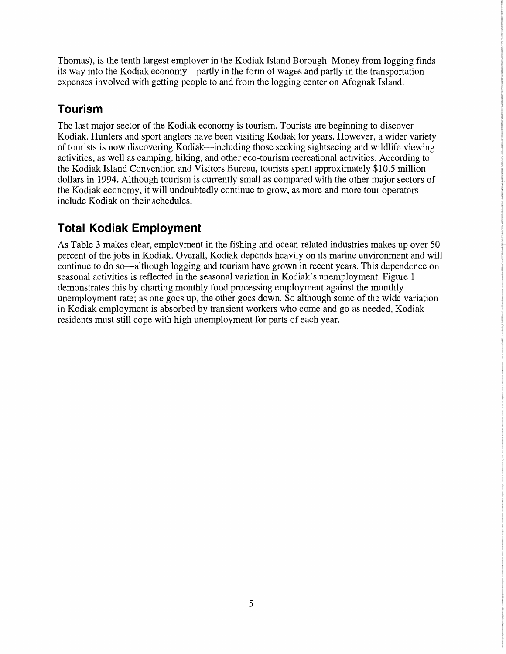Thomas), is the tenth largest employer in the Kodiak Island Borough. Money from logging finds its way into the Kodiak economy—partly in the form of wages and partly in the transportation expenses involved with getting people to and from the logging center on Afognak Island.

### **Tourism**

The last major sector of the Kodiak economy is tourism. Tourists are beginning to discover Kodiak. Hunters and sport anglers have been visiting Kodiak for years. However, a wider variety of tourists is now discovering Kodiak-including those seeking sightseeing and wildlife viewing activities, as well as camping, hiking, and other eco-tourism recreational activities. According to the Kodiak Island Convention and Visitors Bureau, tourists spent approximately \$10.5 million dollars in 1994. Although tourism is currently small as compared with the other major sectors of the Kodiak economy, it will undoubtedly continue to grow, as more and more tour operators include Kodiak on their schedules.

### **Total Kodiak Employment**

As Table 3 makes clear, employment in the fishing and ocean-related industries makes up over 50 percent of the jobs in Kodiak. Overall, Kodiak depends heavily on its marine environment and will continue to do so—although logging and tourism have grown in recent years. This dependence on seasonal activities is reflected in the seasonal variation in Kodiak's unemployment. Figure 1 demonstrates this by charting monthly food processing employment against the monthly unemployment rate; as one goes up, the other goes down. So although some of the wide variation in Kodiak employment is absorbed by transient workers who come and go as needed, Kodiak residents must still cope with high unemployment for parts of each year.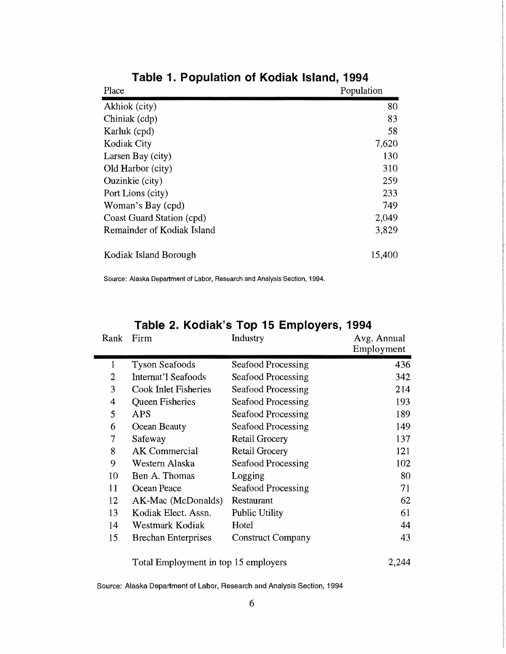| Place                      | Population |
|----------------------------|------------|
| Akhiok (city)              | 80         |
| Chiniak (cdp)              | 83         |
| Karluk (cpd)               | 58         |
| <b>Kodiak City</b>         | 7,620      |
| Larsen Bay (city)          | 130        |
| Old Harbor (city)          | 310        |
| Ouzinkie (city)            | 259        |
| Port Lions (city)          | 233        |
| Woman's Bay (cpd)          | 749        |
| Coast Guard Station (cpd)  | 2,049      |
| Remainder of Kodiak Island | 3,829      |
| Kodiak Island Borough      | 15,400     |

**Table 1. Population of Kodiak Island, 1994** 

Source: Alaska Department of Labor, Research and Analysis Section, 1994.

| Rank         | Firm                        | <b>Industry</b>          | Avg. Annual<br>Employment |
|--------------|-----------------------------|--------------------------|---------------------------|
| $\mathbf{1}$ | <b>Tyson Seafoods</b>       | Seafood Processing       | 436                       |
| 2            | Internat'l Seafoods         | Seafood Processing       | 342                       |
| 3            | <b>Cook Inlet Fisheries</b> | Seafood Processing       | 214                       |
| 4            | <b>Queen Fisheries</b>      | Seafood Processing       | 193                       |
| 5            | <b>APS</b>                  | Seafood Processing       | 189                       |
| 6            | Ocean Beauty                | Seafood Processing       | 149                       |
| 7            | Safeway                     | <b>Retail Grocery</b>    | 137                       |
| 8            | <b>AK</b> Commercial        | <b>Retail Grocery</b>    | 121                       |
| 9            | Western Alaska              | Seafood Processing       | 102                       |
| 10           | Ben A. Thomas               | Logging                  | 80                        |
| 11           | Ocean Peace                 | Seafood Processing       | 71                        |
| 12           | AK-Mac (McDonalds)          | Restaurant               | 62                        |
| 13           | Kodiak Elect. Assn.         | Public Utility           | 61                        |
| 14           | Westmark Kodiak             | Hotel                    | 44                        |
| 15           | <b>Brechan Enterprises</b>  | <b>Construct Company</b> | 43                        |

### **Table 2. Kodiak's Top 15 Employers, 1994**

Source: Alaska Department of Labor, Research and Analysis Section, 1994

Total Employment in top 15 employers 2,244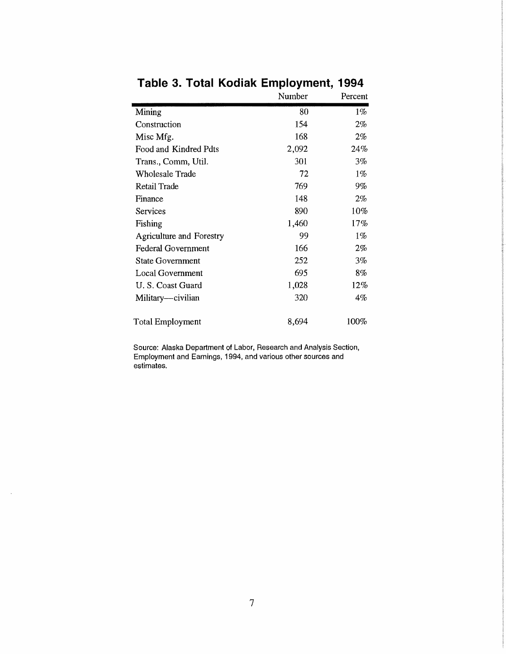|                                 | Number | Percent |
|---------------------------------|--------|---------|
| Mining                          | 80     | 1%      |
| Construction                    | 154    | $2\%$   |
| Misc Mfg.                       | 168    | 2%      |
| Food and Kindred Pdts           | 2,092  | 24%     |
| Trans., Comm, Util.             | 301    | 3%      |
| Wholesale Trade                 | 72     | $1\%$   |
| Retail Trade                    | 769    | 9%      |
| Finance                         | 148    | 2%      |
| Services                        | 890    | 10%     |
| Fishing                         | 1,460  | 17%     |
| <b>Agriculture and Forestry</b> | 99     | $1\%$   |
| <b>Federal Government</b>       | 166    | $2\%$   |
| <b>State Government</b>         | 252    | 3%      |
| Local Government                | 695    | 8%      |
| U. S. Coast Guard               | 1,028  | $12\%$  |
| Military—civilian               | 320    | 4%      |
| Total Employment                | 8,694  | 100%    |

# **Table 3. Total Kodiak Employment, 1994**

Source: Alaska Department of Labor, Research and Analysis Section, Employment and Earnings, 1994, and various other sources and estimates.

 $\bar{\mathcal{A}}$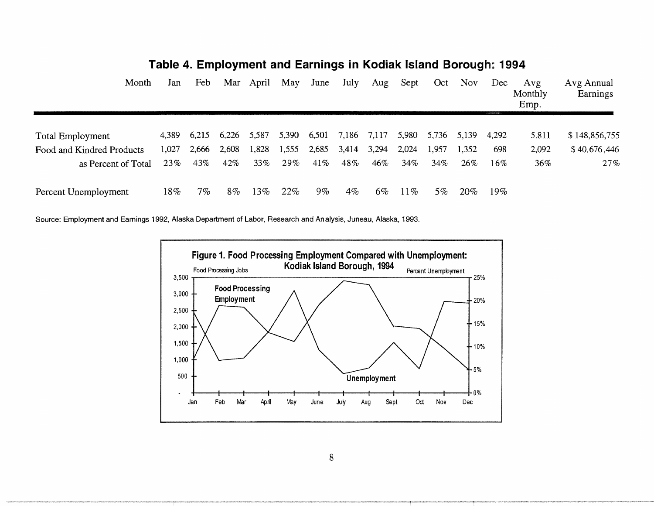| Month                     | Jan    | Feb               | Mar   | April | May   | June  | July  | Aug   | Sept   | Oct    | Nov   | Dec<br>A SAVETARMENTS | Avg<br>Monthly<br>Emp. | Avg Annual<br>Earnings |
|---------------------------|--------|-------------------|-------|-------|-------|-------|-------|-------|--------|--------|-------|-----------------------|------------------------|------------------------|
| <b>Total Employment</b>   |        | 4,389 6,215 6,226 |       | 5,587 | 5,390 | 6,501 | 7,186 | 7,117 | 5,980  | 5,736  | 5,139 | 4.292                 | 5.811                  | \$148,856,755          |
| Food and Kindred Products | 1,027  | 2,666             | 2,608 | 1,828 | 1,555 | 2,685 | 3,414 | 3,294 | 2,024  | 1,957  | 1,352 | 698                   | 2,092                  | \$40,676,446           |
| as Percent of Total       | 23%    | 43%               | 42%   | 33%   | 29%   | 41%   | 48%   | 46%   | 34%    | $34\%$ | 26%   | $16\%$                | 36%                    | 27%                    |
| Percent Unemployment      | $18\%$ | $7\%$             | $8\%$ | 13%   | 22%   | $9\%$ | $4\%$ | 6%    | $11\%$ | $5\%$  | 20%   | 19%                   |                        |                        |

### **Table 4. Employment and Earnings in Kodiak Island Borough: 1994**

Source: Employment and Earnings 1992, Alaska Department of Labor, Research and Analysis, Juneau, Alaska, 1993.

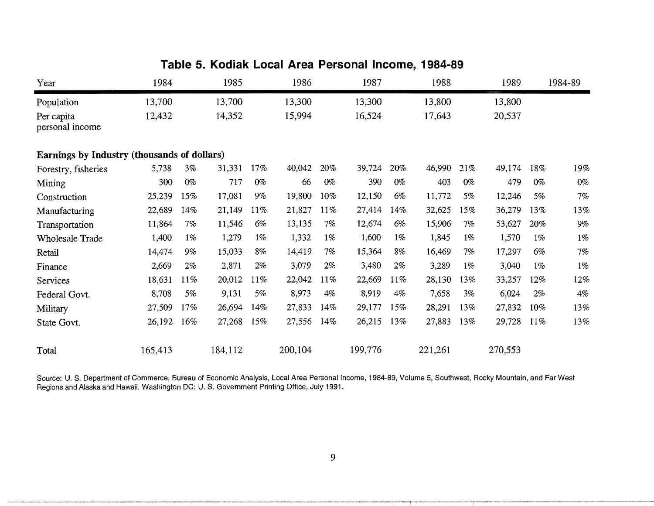| Table 5. Noulan Local Area Personal Income, 1964-69 |         |       |         |       |         |        |         |       |         |       |         |       |         |
|-----------------------------------------------------|---------|-------|---------|-------|---------|--------|---------|-------|---------|-------|---------|-------|---------|
| Year                                                | 1984    |       | 1985    |       | 1986    |        | 1987    |       | 1988    |       | 1989    |       | 1984-89 |
| Population                                          | 13,700  |       | 13,700  |       | 13,300  |        | 13,300  |       | 13,800  |       | 13,800  |       |         |
| Per capita<br>personal income                       | 12,432  |       | 14,352  |       | 15,994  |        | 16,524  |       | 17,643  |       | 20,537  |       |         |
| Earnings by Industry (thousands of dollars)         |         |       |         |       |         |        |         |       |         |       |         |       |         |
| Forestry, fisheries                                 | 5,738   | 3%    | 31,331  | 17%   | 40,042  | 20%    | 39,724  | 20%   | 46,990  | 21%   | 49,174  | 18%   | 19%     |
| Mining                                              | 300     | $0\%$ | 717     | $0\%$ | 66      | $0\%$  | 390     | $0\%$ | 403     | $0\%$ | 479     | $0\%$ | $0\%$   |
| Construction                                        | 25,239  | 15%   | 17,081  | $9\%$ | 19,800  | 10%    | 12,150  | 6%    | 11,772  | 5%    | 12,246  | 5%    | $7\%$   |
| Manufacturing                                       | 22,689  | 14%   | 21,149  | 11%   | 21,827  | $11\%$ | 27,414  | 14%   | 32,625  | 15%   | 36,279  | 13%   | 13%     |
| Transportation                                      | 11,864  | 7%    | 11,546  | $6\%$ | 13,135  | 7%     | 12,674  | 6%    | 15,906  | 7%    | 53,627  | 20%   | 9%      |
| <b>Wholesale Trade</b>                              | 1,400   | $1\%$ | 1,279   | $1\%$ | 1,332   | $1\%$  | 1,600   | $1\%$ | 1,845   | $1\%$ | 1,570   | $1\%$ | $1\%$   |
| Retail                                              | 14,474  | $9\%$ | 15,033  | 8%    | 14,419  | 7%     | 15,364  | 8%    | 16,469  | 7%    | 17,297  | 6%    | $7\%$   |
| Finance                                             | 2,669   | $2\%$ | 2,871   | 2%    | 3,079   | $2\%$  | 3,480   | $2\%$ | 3,289   | $1\%$ | 3,040   | $1\%$ | $1\%$   |
| Services                                            | 18,631  | 11%   | 20,012  | 11%   | 22,042  | 11%    | 22,669  | 11%   | 28,130  | 13%   | 33,257  | 12%   | 12%     |
| Federal Govt.                                       | 8,708   | 5%    | 9,131   | 5%    | 8,973   | 4%     | 8,919   | $4\%$ | 7,658   | 3%    | 6,024   | $2\%$ | $4\%$   |
| Military                                            | 27,509  | 17%   | 26,694  | 14%   | 27,833  | 14%    | 29,177  | 15%   | 28,291  | 13%   | 27,832  | 10%   | 13%     |
| State Govt.                                         | 26,192  | 16%   | 27,268  | 15%   | 27,556  | 14%    | 26,215  | 13%   | 27,883  | 13%   | 29,728  | 11%   | 13%     |
| Total                                               | 165,413 |       | 184,112 |       | 200,104 |        | 199,776 |       | 221,261 |       | 270,553 |       |         |

### **Table 5. Kodiak Local Area Personal Income, 1984-89**

Source: U. S. Department of Commerce, Bureau of Economic Analysis, Local Area Personal Income, 1984-89, Volume 5, Southwest, Rocky Mountain, and Far West Regions and Alaska and Hawaii. Washington DC: U.S. Government Printing Office, July 1991.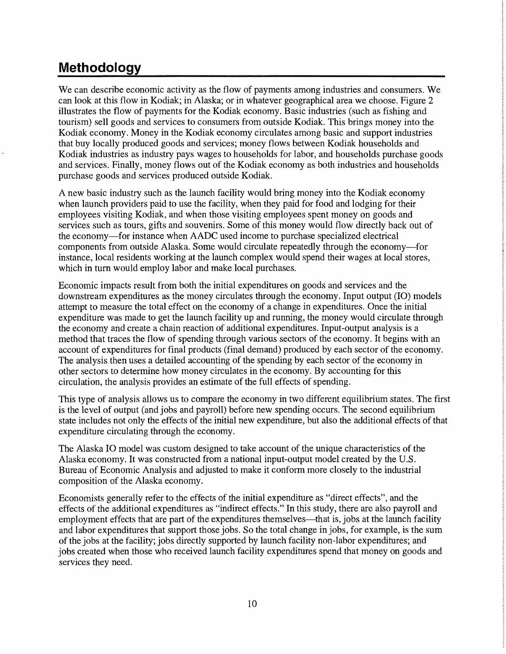# **Methodology**

We can describe economic activity as the flow of payments among industries and consumers. We can look at this flow in Kodiak; in Alaska; or in whatever geographical area we choose. Figure 2 illustrates the flow of payments for the Kodiak economy. Basic industries (such as fishing and tourism) sell goods and services to consumers from outside Kodiak. This brings money into the Kodiak economy. Money in the Kodiak economy circulates among basic and support industries that buy locally produced goods and services; money flows between Kodiak households and Kodiak industries as industry pays wages to households for labor, and households purchase goods and services. Finally, money flows out of the Kodiak economy as both industries and households purchase goods and services produced outside Kodiak.

A new basic industry such as the launch facility would bring money into the Kodiak economy when launch providers paid to use the facility, when they paid for food and lodging for their employees visiting Kodiak, and when those visiting employees spent money on goods and services such as tours, gifts and souvenirs. Some of this money would flow directly back out of the economy-for instance when AADC used income to purchase specialized electrical components from outside Alaska. Some would circulate repeatedly through the economy-for instance, local residents working at the launch complex would spend their wages at local stores, which in turn would employ labor and make local purchases.

Economic impacts result from both the initial expenditures on goods and services and the downstream expenditures as the money circulates through the economy. Input output (IO) models attempt to measure the total effect on the economy of a change in expenditures. Once the initial expenditure was made to get the launch facility up and running, the money would circulate through the economy and create a chain reaction of additional expenditures. Input-output analysis is a method that traces the flow of spending through various sectors of the economy. It begins with an account of expenditures for final products (final demand) produced by each sector of the economy. The analysis then uses a detailed accounting of the spending by each sector of the economy in other sectors to determine how money circulates in the economy. By accounting for this circulation, the analysis provides an estimate of the full effects of spending.

This type of analysis allows us to compare the economy in two different equilibrium states. The first is the level of output (and jobs and payroll) before new spending occurs. The second equilibrium state includes not only the effects of the initial new expenditure, but also the additional effects of that expenditure circulating through the economy.

The Alaska IO model was custom designed to take account of the unique characteristics of the Alaska economy. It was constructed from a national input-output model created by the U.S. Bureau of Economic Analysis and adjusted to make it conform more closely to the industrial composition of the Alaska economy.

Economists generally refer to the effects of the initial expenditure as "direct effects", and the effects of the additional expenditures as "indirect effects." In this study, there are also payroll and employment effects that are part of the expenditures themselves—that is, jobs at the launch facility and labor expenditures that support those jobs. So the total change in jobs, for example, is the sum of the jobs at the facility; jobs directly supported by launch facility non-labor expenditures; and jobs created when those who received launch facility expenditures spend that money on goods and services they need.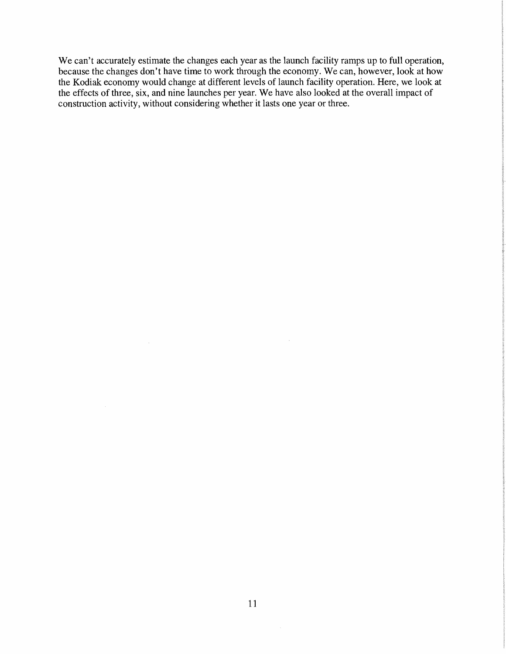We can't accurately estimate the changes each year as the launch facility ramps up to full operation, because the changes don't have time to work through the economy. We can, however, look at how the Kodiak economy would change at different levels of launch facility operation. Here, we look at the effects of three, six, and nine launches per year. We have also looked at the overall impact of construction activity, without considering whether it lasts one year or three.

 $\Delta \sim 10^{11}$  km s  $^{-1}$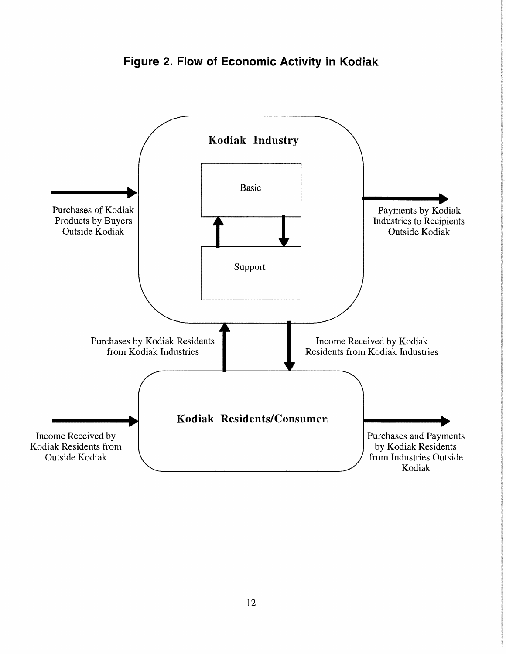

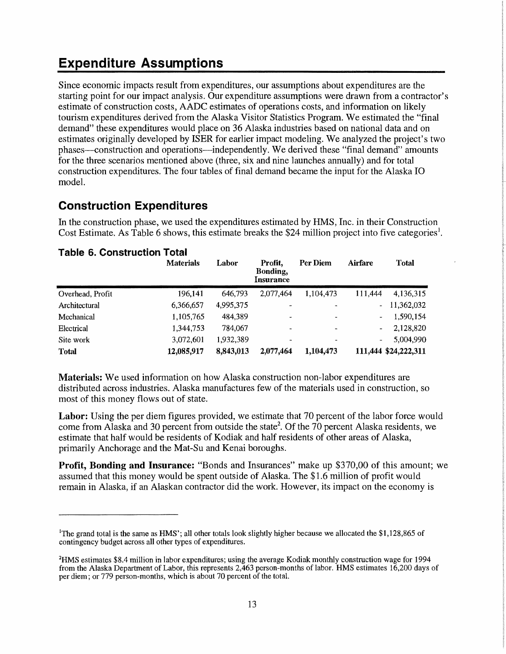# **Expenditure Assumptions**

Since economic impacts result from expenditures, our assumptions about expenditures are the starting point for our impact analysis. Our expenditure assumptions were drawn from a contractor's estimate of construction costs, AADC estimates of operations costs, and information on likely tourism expenditures derived from the Alaska Visitor Statistics Program. We estimated the ''final demand" these expenditures would place on 36 Alaska industries based on national data and on estimates originally developed by ISER for earlier impact modeling. We analyzed the project's two phases--construction and operations-independently. We derived these "final demand" amounts for the three scenarios mentioned above (three, six and nine launches annually) and for total construction expenditures. The four tables of final demand became the input for the Alaska IO model.

### **Construction Expenditures**

In the construction phase, we used the expenditures estimated by HMS, Inc. in their Construction Cost Estimate. As Table 6 shows, this estimate breaks the \$24 million project into five categories<sup>1</sup>.

|                  | <b>Materials</b> | Labor     | Profit.<br>Bonding,<br>Insurance | Per Diem       | <b>Airfare</b> | <b>Total</b>         |
|------------------|------------------|-----------|----------------------------------|----------------|----------------|----------------------|
| Overhead, Profit | 196,141          | 646,793   | 2,077,464                        | 1,104,473      | 111,444        | 4,136,315            |
| Architectural    | 6,366,657        | 4,995,375 | $\overline{\phantom{a}}$         |                | $\sim$         | 11,362,032           |
| Mechanical       | 1,105,765        | 484,389   | ٠                                |                |                | 1,590,154            |
| Electrical       | 1,344,753        | 784,067   | $\overline{\phantom{a}}$         | $\blacksquare$ | -              | 2,128,820            |
| Site work        | 3,072,601        | 1.932.389 | $\ddot{\phantom{1}}$             |                | -              | 5.004.990            |
| <b>Total</b>     | 12,085,917       | 8,843,013 | 2,077,464                        | 1,104,473      |                | 111,444 \$24,222,311 |

#### **Table 6. Construction Total**

**Materials:** We used information on how Alaska construction non-labor expenditures are distributed across industries. Alaska manufactures few of the materials used in construction, so most of this money flows out of state.

Labor: Using the per diem figures provided, we estimate that 70 percent of the labor force would come from Alaska and 30 percent from outside the state<sup>2</sup>. Of the 70 percent Alaska residents, we estimate that half would be residents of Kodiak and half residents of other areas of Alaska, primarily Anchorage and the Mat-Su and Kenai boroughs.

**Profit, Bonding and Insurance:** "Bonds and Insurances" make up \$370,00 of this amount; we assumed that this money would be spent outside of Alaska. The \$1.6 million of profit would remain in Alaska, if an Alaskan contractor did the work. However, its impact on the economy is

<sup>1</sup>The grand total is the same as **HMS';** all other totals look slightly higher because we allocated the \$1,128,865 of contingency budget across all other types of expenditures.

**<sup>2</sup>HMS** estimates \$8.4 million in labor expenditures; using the average Kodiak monthly construction wage for 1994 from the Alaska Department of Labor, this represents 2,463 person-months of labor. HMS estimates 16,200 days of per diem; or 779 person-months, which is about 70 percent of the total.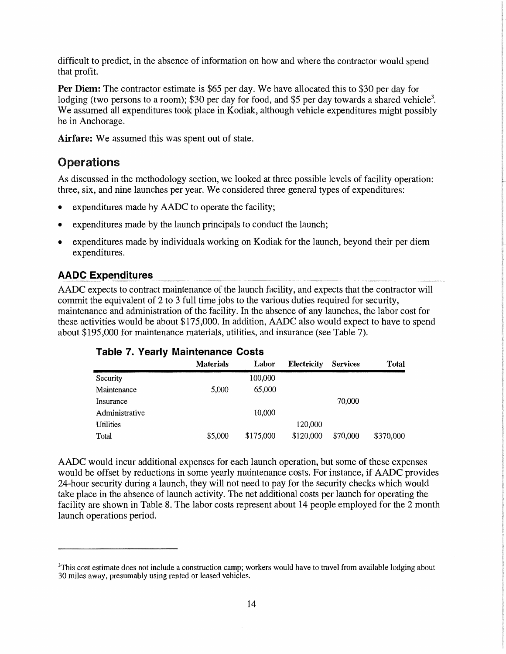difficult to predict, in the absence of information on how and where the contractor would spend that profit.

**Per Diem:** The contractor estimate is \$65 per day. We have allocated this to \$30 per day for lodging (two persons to a room); \$30 per day for food, and \$5 per day towards a shared vehicle<sup>3</sup>. We assumed all expenditures took place in Kodiak, although vehicle expenditures might possibly be in Anchorage.

**Airfare:** We assumed this was spent out of state.

#### **Operations**

As discussed in the methodology section, we looked at three possible levels of facility operation: three, six, and nine launches per year. We considered three general types of expenditures:

- expenditures made by AADC to operate the facility;
- expenditures made by the launch principals to conduct the launch;
- expenditures made by individuals working on Kodiak for the launch, beyond their per diem expenditures.

#### **AADC Expenditures**

AADC expects to contract maintenance of the launch facility, and expects that the contractor will commit the equivalent of 2 to 3 full time jobs to the various duties required for security, maintenance and administration of the facility. In the absence of any launches, the labor cost for these activities would be about \$175,000. In addition, AADC also would expect to have to spend about \$195,000 for maintenance materials, utilities, and insurance (see Table 7).

| $1.00019 - 1.1 - 1.000119 - 11.001114 - 11.00119 - 1.00019 - 1.00019 - 1.00019 - 1.00019 - 1.00019 - 1.00019 - 1.00019 - 1.00019 - 1.00019 - 1.00019 - 1.00019 - 1.00019 - 1.00019 - 1.00019 - 1.00019 - 1.00019 - 1.00019 - 1.00019 - 1.00019 - 1.00$ |                  |           |             |                 |              |  |  |  |
|--------------------------------------------------------------------------------------------------------------------------------------------------------------------------------------------------------------------------------------------------------|------------------|-----------|-------------|-----------------|--------------|--|--|--|
|                                                                                                                                                                                                                                                        | <b>Materials</b> | Labor     | Electricity | <b>Services</b> | <b>Total</b> |  |  |  |
| Security                                                                                                                                                                                                                                               |                  | 100,000   |             |                 |              |  |  |  |
| Maintenance                                                                                                                                                                                                                                            | 5,000            | 65,000    |             |                 |              |  |  |  |
| Insurance                                                                                                                                                                                                                                              |                  |           |             | 70,000          |              |  |  |  |
| Administrative                                                                                                                                                                                                                                         |                  | 10,000    |             |                 |              |  |  |  |
| <b>Utilities</b>                                                                                                                                                                                                                                       |                  |           | 120,000     |                 |              |  |  |  |
| Total                                                                                                                                                                                                                                                  | \$5,000          | \$175,000 | \$120,000   | \$70,000        | \$370,000    |  |  |  |

AADC would incur additional expenses for each launch operation, but some of these expenses would be offset by reductions in some yearly maintenance costs. For instance, if AADC provides 24-hour security during a launch, they will not need to pay for the security checks which would take place in the absence of launch activity. The net additional costs per launch for operating the facility are shown in Table 8. The labor costs represent about 14 people employed for the 2 month launch operations period.

<sup>&</sup>lt;sup>3</sup>This cost estimate does not include a construction camp; workers would have to travel from available lodging about 30 miles away, presumably using rented or leased vehicles.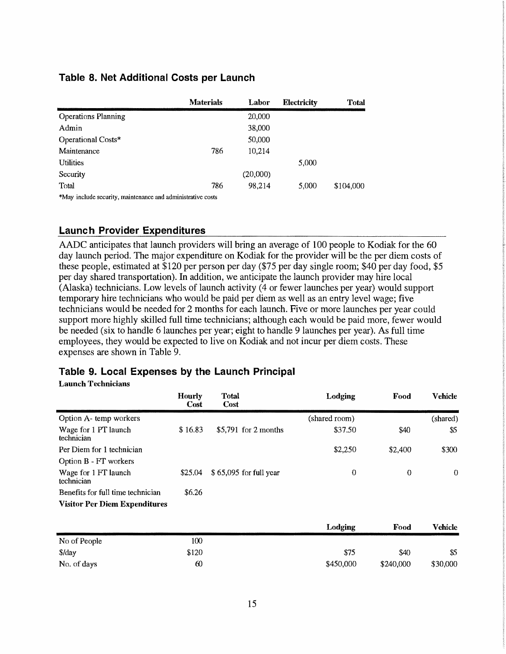|                            | <b>Materials</b> | Labor    | <b>Electricity</b> | <b>Total</b> |
|----------------------------|------------------|----------|--------------------|--------------|
| <b>Operations Planning</b> |                  | 20,000   |                    |              |
| Admin                      |                  | 38,000   |                    |              |
| Operational Costs*         |                  | 50,000   |                    |              |
| Maintenance                | 786              | 10,214   |                    |              |
| <b>Utilities</b>           |                  |          | 5,000              |              |
| Security                   |                  | (20,000) |                    |              |
| Total                      | 786              | 98,214   | 5,000              | \$104,000    |

#### **Table 8. Net Additional Costs per Launch**

\*May include security, maintenance and administrative costs

#### **Launch Provider Expenditures**

AADC anticipates that launch providers will bring an average of 100 people to Kodiak for the 60 day launch period. The major expenditure on Kodiak for the provider will be the per diem costs of these people, estimated at \$120 per person per day (\$75 per day single room; \$40 per day food, \$5 per day shared transportation). In addition, we anticipate the launch provider may hire local  $(A$ laska) technicians. Low levels of launch activity  $(4 \text{ or fewer launch per year})$  would support temporary hire technicians who would be paid per diem as well as an entry level wage; five technicians would be needed for 2 months for each launch. Five or more launches per year could support more highly skilled full time technicians; although each would be paid more, fewer would be needed (six to handle 6 launches per year; eight to handle 9 launches per year). As full time employees, they would be expected to live on Kodiak and not incur per diem costs. These expenses are shown in Table 9.

#### **Table 9. Local Expenses by the Launch Principal**

#### **Launch Technicians**

|                                      | Hourly<br>Cost | <b>Total</b><br><b>Cost</b> | Lodging       | Food           | <b>Vehicle</b> |
|--------------------------------------|----------------|-----------------------------|---------------|----------------|----------------|
| Option A- temp workers               |                |                             | (shared room) |                | (shared)       |
| Wage for 1 PT launch<br>technician   | \$16.83        | $$5,791$ for 2 months       | \$37.50       | \$40           | \$5            |
| Per Diem for 1 technician            |                |                             | \$2,250       | \$2,400        | \$300          |
| Option B - FT workers                |                |                             |               |                |                |
| Wage for 1 FT launch<br>technician   | \$25.04        | \$65,095 for full year      | $\mathbf 0$   | $\overline{0}$ | $\theta$       |
| Benefits for full time technician    | \$6.26         |                             |               |                |                |
| <b>Visitor Per Diem Expenditures</b> |                |                             |               |                |                |
|                                      |                |                             | Lodging       | Food           | <b>Vehicle</b> |

|              |       | Loaging   | rood      | vemcie   |
|--------------|-------|-----------|-----------|----------|
| No of People | 100   |           |           |          |
| \$/day       | \$120 | \$75      | \$40      | \$5      |
| No. of days  | 60    | \$450,000 | \$240,000 | \$30,000 |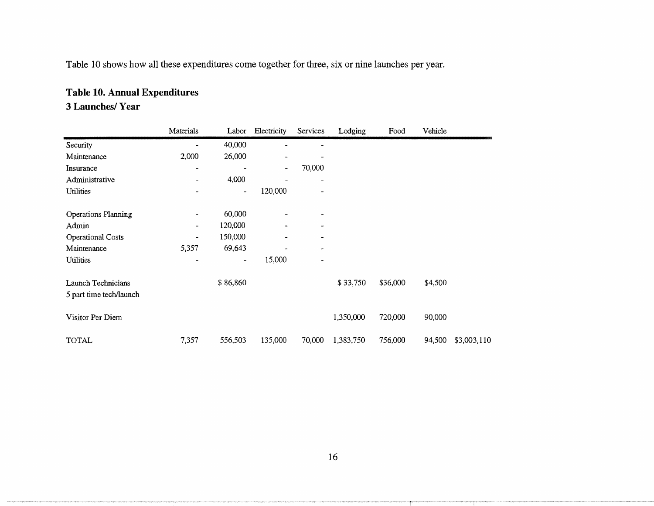Table 10 shows how all these expenditures come together for three, six or nine launches per year.

### **Table 10. Annual Expenditures**

#### **3 Launches/ Year**

|                                               | Materials                | Labor                        | Electricity              | Services                 | Lodging   | Food     | Vehicle |             |
|-----------------------------------------------|--------------------------|------------------------------|--------------------------|--------------------------|-----------|----------|---------|-------------|
| Security                                      |                          | 40,000                       | $\ddot{\phantom{1}}$     |                          |           |          |         |             |
| Maintenance                                   | 2,000                    | 26,000                       |                          |                          |           |          |         |             |
| Insurance                                     | $\overline{\phantom{a}}$ | $\qquad \qquad \blacksquare$ | $\overline{\phantom{a}}$ | 70,000                   |           |          |         |             |
| Administrative                                | $\overline{\phantom{a}}$ | 4,000                        |                          |                          |           |          |         |             |
| <b>Utilities</b>                              |                          | $\qquad \qquad \blacksquare$ | 120,000                  | $\overline{\phantom{0}}$ |           |          |         |             |
| Operations Planning                           | $\blacksquare$           | 60,000                       |                          | -                        |           |          |         |             |
| Admin                                         | $\overline{\phantom{a}}$ | 120,000                      |                          | -                        |           |          |         |             |
| Operational Costs                             | $\blacksquare$           | 150,000                      |                          | -                        |           |          |         |             |
| Maintenance                                   | 5,357                    | 69,643                       |                          | ۰                        |           |          |         |             |
| <b>Utilities</b>                              | ۰                        | ٠                            | 15,000                   |                          |           |          |         |             |
| Launch Technicians<br>5 part time tech/launch |                          | \$86,860                     |                          |                          | \$33,750  | \$36,000 | \$4,500 |             |
| Visitor Per Diem                              |                          |                              |                          |                          | 1,350,000 | 720,000  | 90,000  |             |
| TOTAL                                         | 7,357                    | 556,503                      | 135,000                  | 70,000                   | 1,383,750 | 756,000  | 94,500  | \$3,003,110 |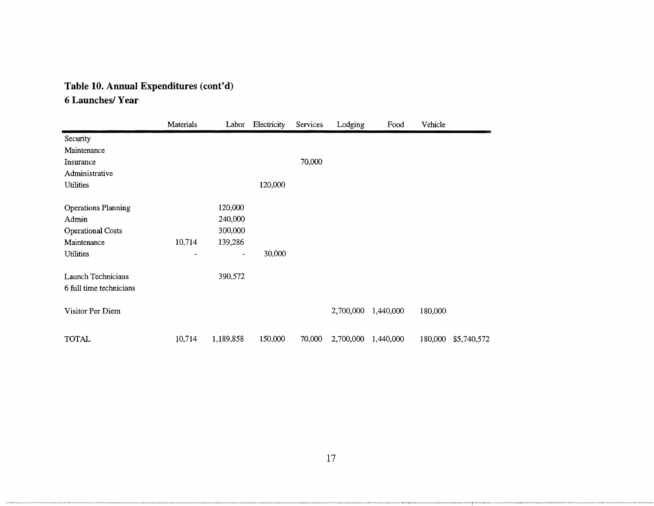# **Table 10. Annual Expenditures (cont'd)**

### **6 Launches/Year**

|                            | Materials | Labor     | Electricity | Services | Lodging   | Food      | Vehicle |             |
|----------------------------|-----------|-----------|-------------|----------|-----------|-----------|---------|-------------|
| Security                   |           |           |             |          |           |           |         |             |
| Maintenance                |           |           |             |          |           |           |         |             |
| Insurance                  |           |           |             | 70,000   |           |           |         |             |
| Administrative             |           |           |             |          |           |           |         |             |
| Utilities                  |           |           | 120,000     |          |           |           |         |             |
| <b>Operations Planning</b> |           | 120,000   |             |          |           |           |         |             |
| Admin                      |           | 240,000   |             |          |           |           |         |             |
| <b>Operational Costs</b>   |           | 300,000   |             |          |           |           |         |             |
| Maintenance                | 10,714    | 139,286   |             |          |           |           |         |             |
| Utilities                  |           | -         | 30,000      |          |           |           |         |             |
| Launch Technicians         |           | 390,572   |             |          |           |           |         |             |
| 6 full time technicians    |           |           |             |          |           |           |         |             |
| Visitor Per Diem           |           |           |             |          | 2,700,000 | 1,440,000 | 180,000 |             |
| <b>TOTAL</b>               | 10,714    | 1,189,858 | 150,000     | 70,000   | 2,700,000 | 1,440,000 | 180,000 | \$5,740,572 |

17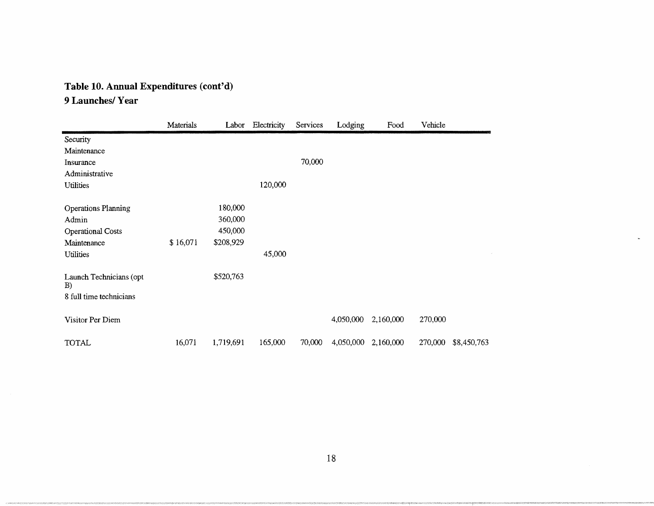## **Table 10. Annual Expenditures (cont'd)**

### **9 Launches/Year**

|                               | Materials | Labor     | Electricity | Services | Lodging   | Food      | Vehicle |             |
|-------------------------------|-----------|-----------|-------------|----------|-----------|-----------|---------|-------------|
| Security                      |           |           |             |          |           |           |         |             |
| Maintenance                   |           |           |             |          |           |           |         |             |
| Insurance                     |           |           |             | 70,000   |           |           |         |             |
| Administrative                |           |           |             |          |           |           |         |             |
| <b>Utilities</b>              |           |           | 120,000     |          |           |           |         |             |
| <b>Operations Planning</b>    |           | 180,000   |             |          |           |           |         |             |
| Admin                         |           | 360,000   |             |          |           |           |         |             |
| <b>Operational Costs</b>      |           | 450,000   |             |          |           |           |         |             |
| Maintenance                   | \$16,071  | \$208,929 |             |          |           |           |         |             |
| <b>Utilities</b>              |           |           | 45,000      |          |           |           |         |             |
| Launch Technicians (opt<br>B) |           | \$520,763 |             |          |           |           |         |             |
| 8 full time technicians       |           |           |             |          |           |           |         |             |
| Visitor Per Diem              |           |           |             |          | 4,050,000 | 2,160,000 | 270,000 |             |
| <b>TOTAL</b>                  | 16,071    | 1,719,691 | 165,000     | 70,000   | 4,050,000 | 2,160,000 | 270,000 | \$8,450,763 |

 $\omega$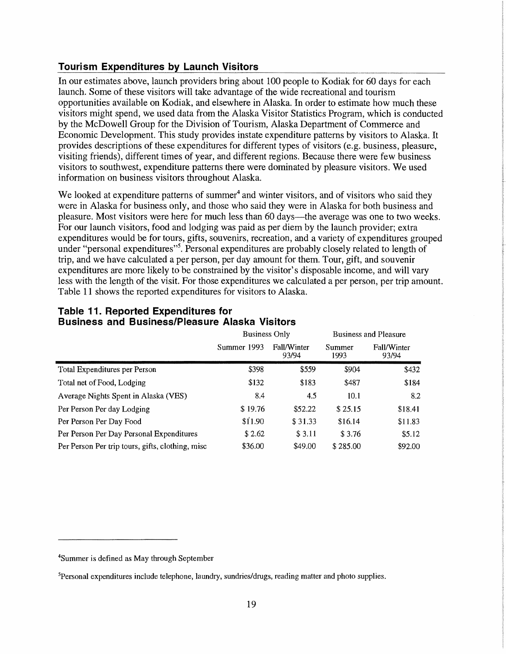#### **Tourism Expenditures by Launch Visitors**

In our estimates above, launch providers bring about 100 people to Kodiak for 60 days for each launch. Some of these visitors will take advantage of the wide recreational and tourism opportunities available on Kodiak, and elsewhere in Alaska. In order to estimate how much these visitors might spend, we used data from the Alaska Visitor Statistics Program, which is conducted by the McDowell Group for the Division of Tourism, Alaska Department of Commerce and Economic Development. This study provides instate expenditure patterns by visitors to Alaska. It provides descriptions of these expenditures for different types of visitors (e.g. business, pleasure, visiting friends), different times of year, and different regions. Because there were few business visitors to southwest, expenditure patterns there were dominated by pleasure visitors. We used information on business visitors throughout Alaska.

We looked at expenditure patterns of summer<sup>4</sup> and winter visitors, and of visitors who said they were in Alaska for business only, and those who said they were in Alaska for both business and pleasure. Most visitors were here for much less than 60 days—the average was one to two weeks. For our launch visitors, food and lodging was paid as per diem by the launch provider; extra expenditures would be for tours, gifts, souvenirs, recreation, and a variety of expenditures grouped under "personal expenditures"<sup>5</sup>. Personal expenditures are probably closely related to length of trip, and we have calculated a per person, per day amount for them. Tour, gift, and souvenir expenditures are more likely to be constrained by the visitor's disposable income, and will vary less with the length of the visit. For those expenditures we calculated a per person, per trip amount. Table 11 shows the reported expenditures for visitors to Alaska.

|                                                  | <b>Business Only</b> |                      |                | <b>Business and Pleasure</b> |
|--------------------------------------------------|----------------------|----------------------|----------------|------------------------------|
|                                                  | Summer 1993          | Fall/Winter<br>93/94 | Summer<br>1993 | Fall/Winter<br>93/94         |
| Total Expenditures per Person                    | \$398                | \$559                | \$904          | \$432                        |
| Total net of Food, Lodging                       | \$132                | \$183                | \$487          | \$184                        |
| Average Nights Spent in Alaska (VES)             | 8.4                  | 4.5                  | 10.1           | 8.2                          |
| Per Person Per day Lodging                       | \$19.76              | \$52.22              | \$25.15        | \$18.41                      |
| Per Person Per Day Food                          | \$11.90              | \$31.33              | \$16.14        | \$11.83                      |
| Per Person Per Day Personal Expenditures         | \$2.62               | \$3.11               | \$3.76         | \$5.12                       |
| Per Person Per trip tours, gifts, clothing, misc | \$36.00              | \$49.00              | \$285.00       | \$92.00                      |

#### **Table 11. Reported Expenditures for Business and Business/Pleasure Alaska Visitors**

<sup>4</sup>Summer is defined as May through September

<sup>&</sup>lt;sup>5</sup>Personal expenditures include telephone, laundry, sundries/drugs, reading matter and photo supplies.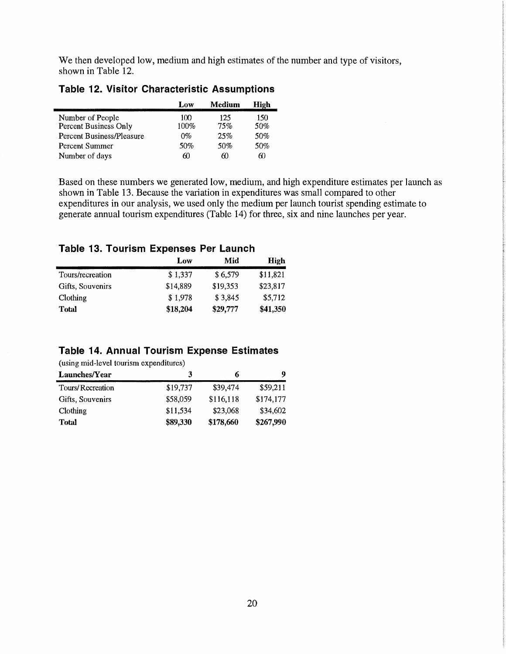We then developed low, medium and high estimates of the number and type of visitors, shown in Table 12.

|                                  | Low  | Medium | High |
|----------------------------------|------|--------|------|
| Number of People                 | 100  | 125    | 150  |
| Percent Business Only            | 100% | 75%    | 50%  |
| <b>Percent Business/Pleasure</b> | በ‰   | 25%    | 50%  |
| Percent Summer                   | 50%  | 50%    | 50%  |
| Number of days                   | 60   | 60     | 60   |

#### **Table 12. Visitor Characteristic Assumptions**

Based on these numbers we generated low, medium, and high expenditure estimates per launch as shown in Table 13. Because the variation in expenditures was small compared to other expenditures in our analysis, we used only the medium per launch tourist spending estimate to generate annual tourism expenditures (Table 14) for three, six and nine launches per year.

#### **Table 13. Tourism Expenses Per Launch**

|                  | Low      | Mid      | High     |
|------------------|----------|----------|----------|
| Tours/recreation | \$1.337  | \$6,579  | \$11,821 |
| Gifts, Souvenirs | \$14,889 | \$19,353 | \$23,817 |
| Clothing         | \$1,978  | \$3,845  | \$5,712  |
| Total            | \$18,204 | \$29,777 | \$41,350 |

#### **Table 14. Annual Tourism Expense Estimates**

(using mid-level tourism expenditures)

| Launches/Year    | 3        | 6         | 9         |
|------------------|----------|-----------|-----------|
| Tours/Recreation | \$19,737 | \$39,474  | \$59,211  |
| Gifts, Souvenirs | \$58,059 | \$116,118 | \$174,177 |
| Clothing         | \$11,534 | \$23,068  | \$34.602  |
| Total            | \$89,330 | \$178,660 | \$267,990 |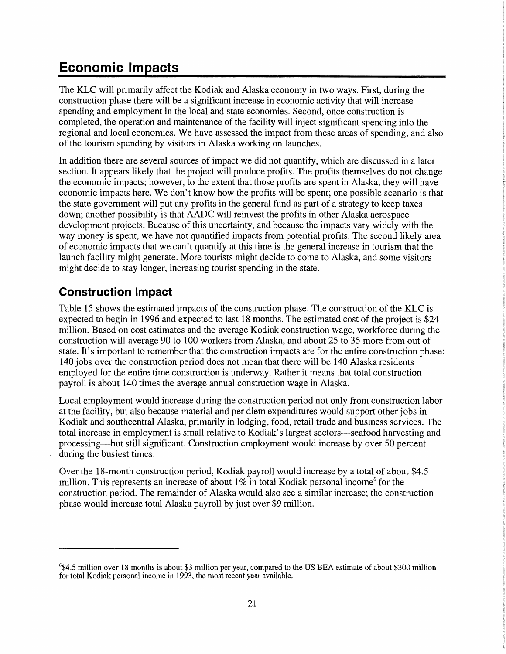# **Economic Impacts**

The KLC will primarily affect the Kodiak and Alaska economy in two ways. First, during the construction phase there will be a significant increase in economic activity that will increase spending and employment in the local and state economies. Second, once construction is completed, the operation and maintenance of the facility will inject significant spending into the regional and local economies. We have assessed the impact from these areas of spending, and also of the tourism spending by visitors in Alaska working on launches.

In addition there are several sources of impact we did not quantify, which are discussed in a later section. It appears likely that the project will produce profits. The profits themselves do not change the economic impacts; however, to the extent that those profits are spent in Alaska, they will have economic impacts here. We don't know how the profits will be spent; one possible scenario is that the state government will put any profits in the general fund as part of a strategy to keep taxes down; another possibility is that AADC will reinvest the profits in other Alaska aerospace development projects. Because of this uncertainty, and because the impacts vary widely with the way money is spent, we have not quantified impacts from potential profits. The second likely area of economic impacts that we can't quantify at this time is the general increase in tourism that the launch facility might generate. More tourists might decide to come to Alaska, and some visitors might decide to stay longer, increasing tourist spending in the state.

### **Construction Impact**

Table 15 shows the estimated impacts of the construction phase. The construction of the KLC is expected to begin in 1996 and expected to last 18 months. The estimated cost of the project is \$24 million. Based on cost estimates and the average Kodiak construction wage, workforce during the construction will average 90 to 100 workers from Alaska, and about 25 to 35 more from out of state. It's important to remember that the construction impacts are for the entire construction phase: 140 jobs over the construction period does not mean that there will be 140 Alaska residents employed for the entire time construction is underway. Rather it means that total construction payroll is about 140 times the average annual construction wage in Alaska.

Local employment would increase during the construction period not only from construction labor at the facility, but also because material and per diem expenditures would support other jobs in Kodiak and southcentral Alaska, primarily in lodging, food, retail trade and business services. The total increase in employment is small relative to Kodiak's largest sectors—seafood harvesting and processing-but still significant. Construction employment would increase by over 50 percent during the busiest times.

Over the 18-month construction period, Kodiak payroll would increase by a total of about \$4.5 million. This represents an increase of about  $1\%$  in total Kodiak personal income<sup>6</sup> for the construction period. The remainder of Alaska would also see a similar increase; the construction phase would increase total Alaska payroll by just over \$9 million.

<sup>6</sup>\$4.5 million over 18 months is about \$3 million per year, compared to the US BEA estimate of about \$300 million for total Kodiak personal income in 1993, the most recent year available.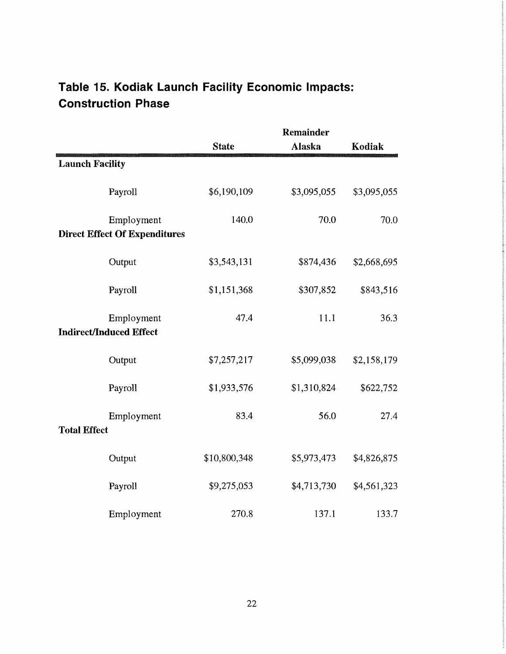## **Table 15. Kodiak Launch Facility Economic Impacts: Construction Phase**

|                        |                                                    | Remainder    |             |             |  |
|------------------------|----------------------------------------------------|--------------|-------------|-------------|--|
|                        |                                                    | <b>State</b> | Alaska      | Kodiak      |  |
| <b>Launch Facility</b> |                                                    |              |             |             |  |
|                        | Payroll                                            | \$6,190,109  | \$3,095,055 | \$3,095,055 |  |
|                        | Employment<br><b>Direct Effect Of Expenditures</b> | 140.0        | 70.0        | 70.0        |  |
|                        | Output                                             | \$3,543,131  | \$874,436   | \$2,668,695 |  |
|                        | Payroll                                            | \$1,151,368  | \$307,852   | \$843,516   |  |
|                        | Employment<br><b>Indirect/Induced Effect</b>       | 47.4         | 11.1        | 36.3        |  |
|                        | Output                                             | \$7,257,217  | \$5,099,038 | \$2,158,179 |  |
|                        | Payroll                                            | \$1,933,576  | \$1,310,824 | \$622,752   |  |
| <b>Total Effect</b>    | Employment                                         | 83.4         | 56.0        | 27.4        |  |
|                        | Output                                             | \$10,800,348 | \$5,973,473 | \$4,826,875 |  |
|                        | Payroll                                            | \$9,275,053  | \$4,713,730 | \$4,561,323 |  |
|                        | Employment                                         | 270.8        | 137.1       | 133.7       |  |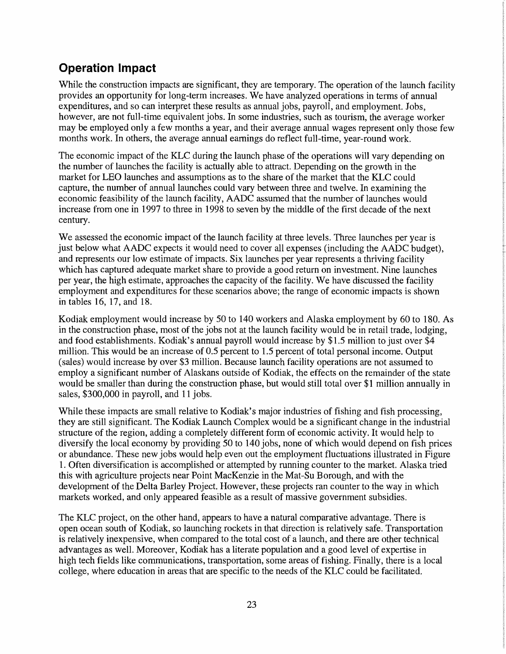### **Operation Impact**

While the construction impacts are significant, they are temporary. The operation of the launch facility provides an opportunity for long-term increases. We have analyzed operations in terms of annual expenditures, and so can interpret these results as annual jobs, payroll, and employment. Jobs, however, are not full-time equivalent jobs. In some industries, such as tourism, the average worker may be employed only a few months a year, and their average annual wages represent only those few months work. In others, the average annual earnings do reflect full-time, year-round work.

The economic impact of the KLC during the launch phase of the operations will vary depending on the number of launches the facility is actually able to attract. Depending on the growth in the market for LEO launches and assumptions as to the share of the market that the KLC could capture, the number of annual launches could vary between three and twelve. In examining the economic feasibility of the launch facility, AADC assumed that the number of launches would increase from one in 1997 to three in 1998 to seven by the middle of the first decade of the next century.

We assessed the economic impact of the launch facility at three levels. Three launches per year is just below what AADC expects it would need to cover all expenses (including the AADC budget), and represents our low estimate of impacts. Six launches per year represents a thriving facility which has captured adequate market share to provide a good return on investment. Nine launches per year, the high estimate, approaches the capacity of the facility. We have discussed the facility employment and expenditures for these scenarios above; the range of economic impacts is shown in tables 16, 17, and 18.

Kodiak employment would increase by 50 to 140 workers and Alaska employment by 60 to 180. As in the construction phase, most of the jobs not at the launch facility would be in retail trade, lodging, and food establishments. Kodiak's annual payroll would increase by \$1.5 million to just over \$4 million. This would be an increase of 0.5 percent to 1.5 percent of total personal income. Output (sales) would increase by over \$3 million. Because launch facility operations are not assumed to employ a significant number of Alaskans outside of Kodiak, the effects on the remainder of the state would be smaller than during the construction phase, but would still total over \$1 million annually in sales, \$300,000 in payroll, and 11 jobs.

While these impacts are small relative to Kodiak's major industries of fishing and fish processing, they are still significant. The Kodiak Launch Complex would be a significant change in the industrial structure of the region, adding a completely different form of economic activity. It would help to diversify the local economy by providing 50 to 140 jobs, none of which would depend on fish prices or abundance. These new jobs would help even out the employment fluctuations illustrated in Figure 1. Often diversification is accomplished or attempted by running counter to the market. Alaska tried this with agriculture projects near Point MacKenzie in the Mat-Su Borough, and with the development of the Delta Barley Project. However, these projects ran counter to the way in which markets worked, and only appeared feasible as a result of massive government subsidies.

The KLC project, on the other hand, appears to have a natural comparative advantage. There is open ocean south of Kodiak, so launching rockets in that direction is relatively safe. Transportation is relatively inexpensive, when compared to the total cost of a launch, and there are other technical advantages as well. Moreover, Kodiak has a literate population and a good level of expertise in high tech fields like communications, transportation, some areas of fishing. Finally, there is a local college, where education in areas that are specific to the needs of the KLC could be facilitated.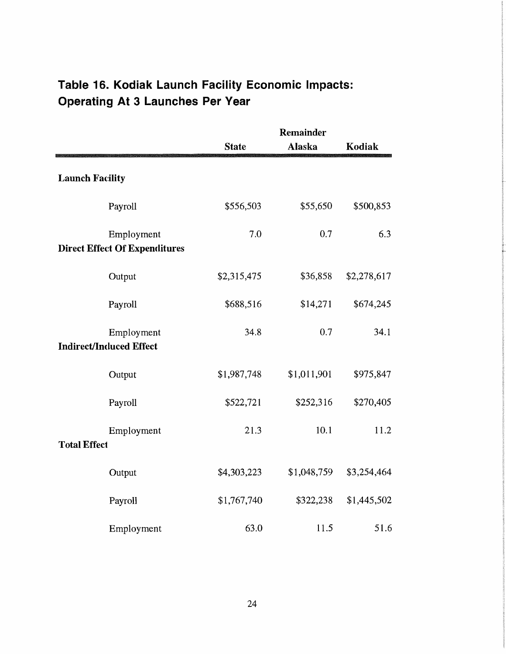# **Table 16. Kodiak Launch Facility Economic Impacts: Operating At 3 Launches Per Year**

|                        |                                                    | Remainder    |               |             |  |
|------------------------|----------------------------------------------------|--------------|---------------|-------------|--|
|                        |                                                    | <b>State</b> | <b>Alaska</b> | Kodiak      |  |
| <b>Launch Facility</b> |                                                    |              |               |             |  |
|                        | Payroll                                            | \$556,503    | \$55,650      | \$500,853   |  |
|                        | Employment<br><b>Direct Effect Of Expenditures</b> | 7.0          | 0.7           | 6.3         |  |
|                        | Output                                             | \$2,315,475  | \$36,858      | \$2,278,617 |  |
|                        | Payroll                                            | \$688,516    | \$14,271      | \$674,245   |  |
|                        | Employment<br><b>Indirect/Induced Effect</b>       | 34.8         | 0.7           | 34.1        |  |
|                        | Output                                             | \$1,987,748  | \$1,011,901   | \$975,847   |  |
|                        | Payroll                                            | \$522,721    | \$252,316     | \$270,405   |  |
| <b>Total Effect</b>    | Employment                                         | 21.3         | 10.1          | 11.2        |  |
|                        | Output                                             | \$4,303,223  | \$1,048,759   | \$3,254,464 |  |
|                        | Payroll                                            | \$1,767,740  | \$322,238     | \$1,445,502 |  |
|                        | Employment                                         | 63.0         | 11.5          | 51.6        |  |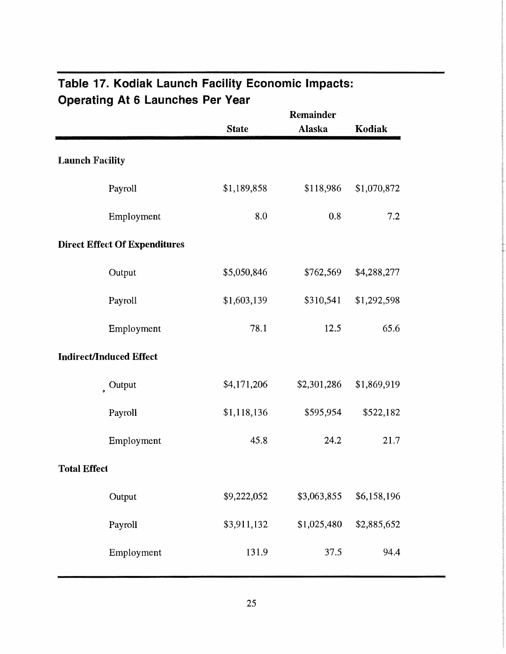|                                      | <b>State</b> | <b>Remainder</b><br>Alaska | Kodiak      |
|--------------------------------------|--------------|----------------------------|-------------|
| <b>Launch Facility</b>               |              |                            |             |
| Payroll                              | \$1,189,858  | \$118,986                  | \$1,070,872 |
| Employment                           | 8.0          | 0.8                        | 7.2         |
| <b>Direct Effect Of Expenditures</b> |              |                            |             |
| Output                               | \$5,050,846  | \$762,569                  | \$4,288,277 |
| Payroll                              | \$1,603,139  | \$310,541                  | \$1,292,598 |
| Employment                           | 78.1         | 12.5                       | 65.6        |
| <b>Indirect/Induced Effect</b>       |              |                            |             |
| $\int$ Output                        | \$4,171,206  | \$2,301,286                | \$1,869,919 |
| Payroll                              | \$1,118,136  | \$595,954                  | \$522,182   |
| Employment                           | 45.8         | 24.2                       | 21.7        |
| <b>Total Effect</b>                  |              |                            |             |
| Output                               | \$9,222,052  | \$3,063,855                | \$6,158,196 |
| Payroll                              | \$3,911,132  | \$1,025,480                | \$2,885,652 |
| Employment                           | 131.9        | 37.5                       | 94.4        |

# **Table 17. Kodiak Launch Facility Economic Impacts: Operating At 6 Launches Per Vear**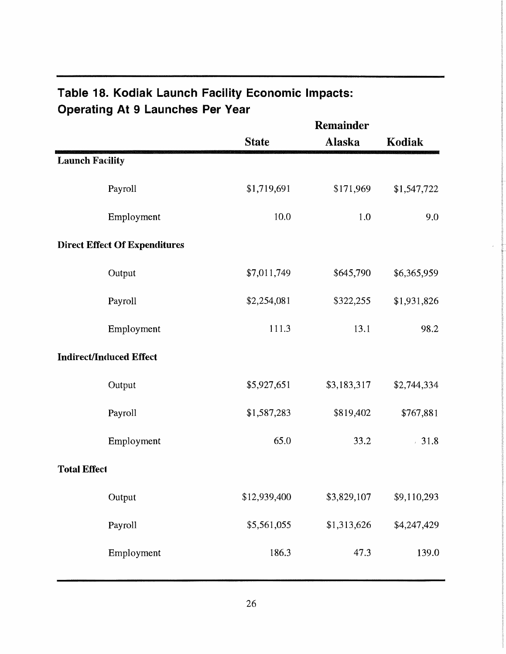# **Table 18. Kodiak Launch Facility Economic Impacts: Operating At 9 Launches Per Year**

|                        |                                      |              | Remainder   |             |  |
|------------------------|--------------------------------------|--------------|-------------|-------------|--|
|                        |                                      | <b>State</b> | Alaska      | Kodiak      |  |
| <b>Launch Facility</b> |                                      |              |             |             |  |
|                        | Payroll                              | \$1,719,691  | \$171,969   | \$1,547,722 |  |
|                        | Employment                           | 10.0         | 1.0         | 9.0         |  |
|                        | <b>Direct Effect Of Expenditures</b> |              |             |             |  |
|                        | Output                               | \$7,011,749  | \$645,790   | \$6,365,959 |  |
|                        | Payroll                              | \$2,254,081  | \$322,255   | \$1,931,826 |  |
|                        | Employment                           | 111.3        | 13.1        | 98.2        |  |
|                        | <b>Indirect/Induced Effect</b>       |              |             |             |  |
|                        | Output                               | \$5,927,651  | \$3,183,317 | \$2,744,334 |  |
|                        | Payroll                              | \$1,587,283  | \$819,402   | \$767,881   |  |
|                        | Employment                           | 65.0         | 33.2        | $-31.8$     |  |
| <b>Total Effect</b>    |                                      |              |             |             |  |
|                        | Output                               | \$12,939,400 | \$3,829,107 | \$9,110,293 |  |
|                        | Payroll                              | \$5,561,055  | \$1,313,626 | \$4,247,429 |  |
|                        | Employment                           | 186.3        | 47.3        | 139.0       |  |
|                        |                                      |              |             |             |  |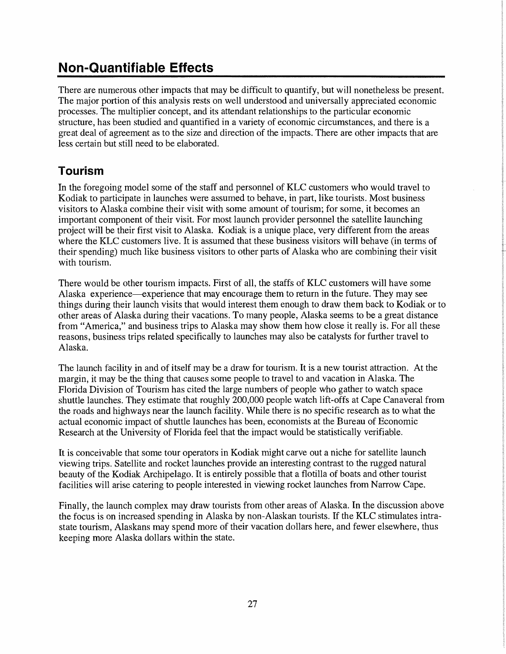# **Non-Quantifiable Effects**

There are numerous other impacts that may be difficult to quantify, but will nonetheless be present. The major portion of this analysis rests on well understood and universally appreciated economic processes. The multiplier concept, and its attendant relationships to the particular economic structure, has been studied and quantified in a variety of economic circumstances, and there is a great deal of agreement as to the size and direction of the impacts. There are other impacts that are less certain but still need to be elaborated.

### **Tourism**

In the foregoing model some of the staff and personnel of KLC customers who would travel to Kodiak to participate in launches were assumed to behave, in part, like tourists. Most business visitors to Alaska combine their visit with some amount of tourism; for some, it becomes an important component of their visit. For most launch provider personnel the satellite launching project will be their first visit to Alaska. Kodiak is a unique place, very different from the areas where the KLC customers live. It is assumed that these business visitors will behave (in terms of their spending) much like business visitors to other parts of Alaska who are combining their visit with tourism.

There would be other tourism impacts. First of all, the staffs of KLC customers will have some Alaska experience--experience that may encourage them to return in the future. They may see things during their launch visits that would interest them enough to draw them back to Kodiak or to other areas of Alaska during their vacations. To many people, Alaska seems to be a great distance from "America," and business trips to Alaska may show them how close it really is. For all these reasons, business trips related specifically to launches may also be catalysts for further travel to Alaska.

The launch facility in and of itself may be a draw for tourism. It is a new tourist attraction. At the margin, it may be the thing that causes some people to travel to and vacation in Alaska. The Florida Division of Tourism has cited the large numbers of people who gather to watch space shuttle launches. They estimate that roughly 200,000 people watch lift-offs at Cape Canaveral from the roads and highways near the launch facility. While there is no specific research as to what the actual economic impact of shuttle launches has been, economists at the Bureau of Economic Research at the University of Florida feel that the impact would be statistically verifiable.

It is conceivable that some tour operators in Kodiak might carve out a niche for satellite launch viewing trips. Satellite and rocket launches provide an interesting contrast to the rugged natural beauty of the Kodiak Archipelago. It is entirely possible that a flotilla of boats and other tourist facilities will arise catering to people interested in viewing rocket launches from Narrow Cape.

Finally, the launch complex may draw tourists from other areas of Alaska. In the discussion above the focus is on increased spending in Alaska by non-Alaskan tourists. If the KLC stimulates intrastate tourism, Alaskans may spend more of their vacation dollars here, and fewer elsewhere, thus keeping more Alaska dollars within the state.